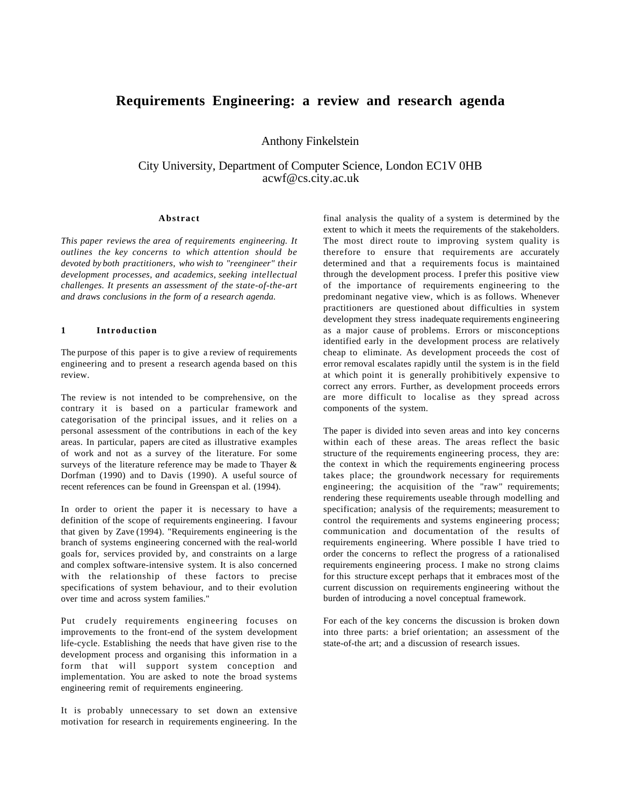# **Requirements Engineering: a review and research agenda**

Anthony Finkelstein

City University, Department of Computer Science, London EC1V 0HB acwf@cs.city.ac.uk

#### **Abstract**

*This paper reviews the area of requirements engineering. It outlines the key concerns to which attention should be devoted by both practitioners, who wish to "reengineer" their development processes, and academics, seeking intellectual challenges. It presents an assessment of the state-of-the-art and draws conclusions in the form of a research agenda.*

## **1 Introduction**

The purpose of this paper is to give a review of requirements engineering and to present a research agenda based on this review.

The review is not intended to be comprehensive, on the contrary it is based on a particular framework and categorisation of the principal issues, and it relies on a personal assessment of the contributions in each of the key areas. In particular, papers are cited as illustrative examples of work and not as a survey of the literature. For some surveys of the literature reference may be made to Thayer & Dorfman (1990) and to Davis (1990). A useful source of recent references can be found in Greenspan et al. (1994).

In order to orient the paper it is necessary to have a definition of the scope of requirements engineering. I favour that given by Zave (1994). "Requirements engineering is the branch of systems engineering concerned with the real-world goals for, services provided by, and constraints on a large and complex software-intensive system. It is also concerned with the relationship of these factors to precise specifications of system behaviour, and to their evolution over time and across system families."

Put crudely requirements engineering focuses on improvements to the front-end of the system development life-cycle. Establishing the needs that have given rise to the development process and organising this information in a form that will support system conception and implementation. You are asked to note the broad systems engineering remit of requirements engineering.

It is probably unnecessary to set down an extensive motivation for research in requirements engineering. In the

final analysis the quality of a system is determined by the extent to which it meets the requirements of the stakeholders. The most direct route to improving system quality is therefore to ensure that requirements are accurately determined and that a requirements focus is maintained through the development process. I prefer this positive view of the importance of requirements engineering to the predominant negative view, which is as follows. Whenever practitioners are questioned about difficulties in system development they stress inadequate requirements engineering as a major cause of problems. Errors or misconceptions identified early in the development process are relatively cheap to eliminate. As development proceeds the cost of error removal escalates rapidly until the system is in the field at which point it is generally prohibitively expensive to correct any errors. Further, as development proceeds errors are more difficult to localise as they spread across components of the system.

The paper is divided into seven areas and into key concerns within each of these areas. The areas reflect the basic structure of the requirements engineering process, they are: the context in which the requirements engineering process takes place; the groundwork necessary for requirements engineering; the acquisition of the "raw" requirements; rendering these requirements useable through modelling and specification; analysis of the requirements; measurement to control the requirements and systems engineering process; communication and documentation of the results of requirements engineering. Where possible I have tried to order the concerns to reflect the progress of a rationalised requirements engineering process. I make no strong claims for this structure except perhaps that it embraces most of the current discussion on requirements engineering without the burden of introducing a novel conceptual framework.

For each of the key concerns the discussion is broken down into three parts: a brief orientation; an assessment of the state-of-the art; and a discussion of research issues.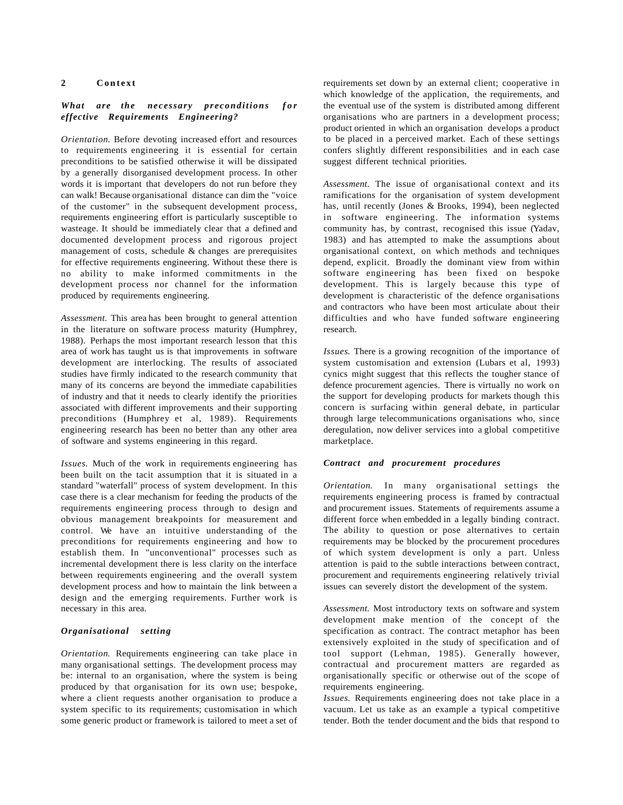## **2 Context**

## *What are the necessary preconditions for effective Requirements Engineering?*

*Orientation*. Before devoting increased effort and resources to requirements engineering it is essential for certain preconditions to be satisfied otherwise it will be dissipated by a generally disorganised development process. In other words it is important that developers do not run before they can walk! Because organisational distance can dim the "voice of the customer" in the subsequent development process, requirements engineering effort is particularly susceptible to wasteage. It should be immediately clear that a defined and documented development process and rigorous project management of costs, schedule & changes are prerequisites for effective requirements engineering. Without these there is no ability to make informed commitments in the development process nor channel for the information produced by requirements engineering.

*Assessment*. This area has been brought to general attention in the literature on software process maturity (Humphrey, 1988). Perhaps the most important research lesson that this area of work has taught us is that improvements in software development are interlocking. The results of associated studies have firmly indicated to the research community that many of its concerns are beyond the immediate capabilities of industry and that it needs to clearly identify the priorities associated with different improvements and their supporting preconditions (Humphrey et al, 1989). Requirements engineering research has been no better than any other area of software and systems engineering in this regard.

*Issues*. Much of the work in requirements engineering has been built on the tacit assumption that it is situated in a standard "waterfall" process of system development. In this case there is a clear mechanism for feeding the products of the requirements engineering process through to design and obvious management breakpoints for measurement and control. We have an intuitive understanding of the preconditions for requirements engineering and how to establish them. In "unconventional" processes such as incremental development there is less clarity on the interface between requirements engineering and the overall system development process and how to maintain the link between a design and the emerging requirements. Further work is necessary in this area.

## *Organisational setting*

*Orientation*. Requirements engineering can take place in many organisational settings. The development process may be: internal to an organisation, where the system is being produced by that organisation for its own use; bespoke, where a client requests another organisation to produce a system specific to its requirements; customisation in which some generic product or framework is tailored to meet a set of requirements set down by an external client; cooperative in which knowledge of the application, the requirements, and the eventual use of the system is distributed among different organisations who are partners in a development process; product oriented in which an organisation develops a product to be placed in a perceived market. Each of these settings confers slightly different responsibilities and in each case suggest different technical priorities.

*Assessment*. The issue of organisational context and its ramifications for the organisation of system development has, until recently (Jones & Brooks, 1994), been neglected in software engineering. The information systems community has, by contrast, recognised this issue (Yadav, 1983) and has attempted to make the assumptions about organisational context, on which methods and techniques depend, explicit. Broadly the dominant view from within software engineering has been fixed on bespoke development. This is largely because this type of development is characteristic of the defence organisations and contractors who have been most articulate about their difficulties and who have funded software engineering research.

*Issues*. There is a growing recognition of the importance of system customisation and extension (Lubars et al, 1993) cynics might suggest that this reflects the tougher stance of defence procurement agencies. There is virtually no work on the support for developing products for markets though this concern is surfacing within general debate, in particular through large telecommunications organisations who, since deregulation, now deliver services into a global competitive marketplace.

#### *Contract and procurement procedures*

*Orientation*. In many organisational settings the requirements engineering process is framed by contractual and procurement issues. Statements of requirements assume a different force when embedded in a legally binding contract. The ability to question or pose alternatives to certain requirements may be blocked by the procurement procedures of which system development is only a part. Unless attention is paid to the subtle interactions between contract, procurement and requirements engineering relatively trivial issues can severely distort the development of the system.

*Assessment*. Most introductory texts on software and system development make mention of the concept of the specification as contract. The contract metaphor has been extensively exploited in the study of specification and of tool support (Lehman, 1985). Generally however, contractual and procurement matters are regarded as organisationally specific or otherwise out of the scope of requirements engineering.

*Issues*. Requirements engineering does not take place in a vacuum. Let us take as an example a typical competitive tender. Both the tender document and the bids that respond to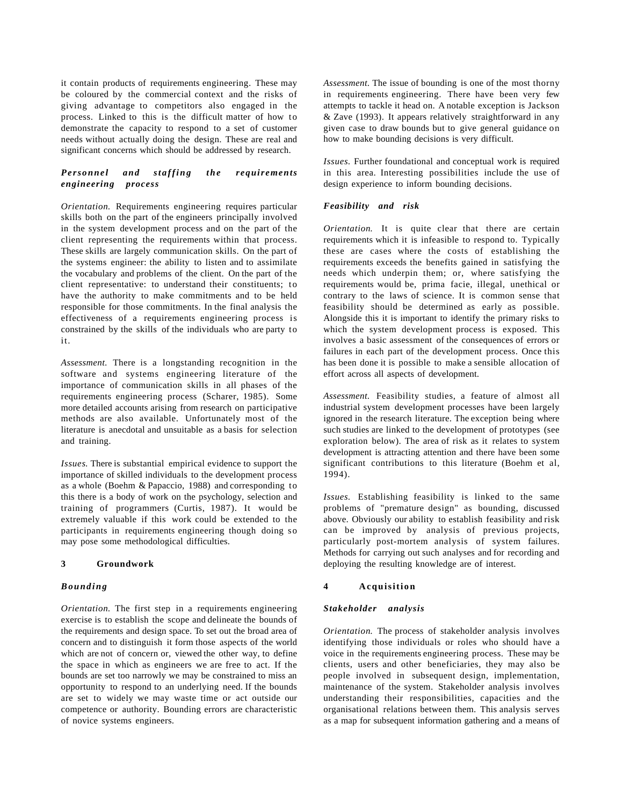it contain products of requirements engineering. These may be coloured by the commercial context and the risks of giving advantage to competitors also engaged in the process. Linked to this is the difficult matter of how to demonstrate the capacity to respond to a set of customer needs without actually doing the design. These are real and significant concerns which should be addressed by research.

## *Personnel and staffing the requirements engineering process*

*Orientation*. Requirements engineering requires particular skills both on the part of the engineers principally involved in the system development process and on the part of the client representing the requirements within that process. These skills are largely communication skills. On the part of the systems engineer: the ability to listen and to assimilate the vocabulary and problems of the client. On the part of the client representative: to understand their constituents; to have the authority to make commitments and to be held responsible for those commitments. In the final analysis the effectiveness of a requirements engineering process is constrained by the skills of the individuals who are party to it.

*Assessment*. There is a longstanding recognition in the software and systems engineering literature of the importance of communication skills in all phases of the requirements engineering process (Scharer, 1985). Some more detailed accounts arising from research on participative methods are also available. Unfortunately most of the literature is anecdotal and unsuitable as a basis for selection and training.

*Issues*. There is substantial empirical evidence to support the importance of skilled individuals to the development process as a whole (Boehm & Papaccio, 1988) and corresponding to this there is a body of work on the psychology, selection and training of programmers (Curtis, 1987). It would be extremely valuable if this work could be extended to the participants in requirements engineering though doing so may pose some methodological difficulties.

#### **3 Groundwork**

#### *Bounding*

*Orientation*. The first step in a requirements engineering exercise is to establish the scope and delineate the bounds of the requirements and design space. To set out the broad area of concern and to distinguish it form those aspects of the world which are not of concern or, viewed the other way, to define the space in which as engineers we are free to act. If the bounds are set too narrowly we may be constrained to miss an opportunity to respond to an underlying need. If the bounds are set to widely we may waste time or act outside our competence or authority. Bounding errors are characteristic of novice systems engineers.

*Assessment*. The issue of bounding is one of the most thorny in requirements engineering. There have been very few attempts to tackle it head on. A notable exception is Jackson & Zave (1993). It appears relatively straightforward in any given case to draw bounds but to give general guidance on how to make bounding decisions is very difficult.

*Issues*. Further foundational and conceptual work is required in this area. Interesting possibilities include the use of design experience to inform bounding decisions.

#### *Feasibility and risk*

*Orientation*. It is quite clear that there are certain requirements which it is infeasible to respond to. Typically these are cases where the costs of establishing the requirements exceeds the benefits gained in satisfying the needs which underpin them; or, where satisfying the requirements would be, prima facie, illegal, unethical or contrary to the laws of science. It is common sense that feasibility should be determined as early as possible. Alongside this it is important to identify the primary risks to which the system development process is exposed. This involves a basic assessment of the consequences of errors or failures in each part of the development process. Once this has been done it is possible to make a sensible allocation of effort across all aspects of development.

*Assessment*. Feasibility studies, a feature of almost all industrial system development processes have been largely ignored in the research literature. The exception being where such studies are linked to the development of prototypes (see exploration below). The area of risk as it relates to system development is attracting attention and there have been some significant contributions to this literature (Boehm et al, 1994).

*Issues*. Establishing feasibility is linked to the same problems of "premature design" as bounding, discussed above. Obviously our ability to establish feasibility and risk can be improved by analysis of previous projects, particularly post-mortem analysis of system failures. Methods for carrying out such analyses and for recording and deploying the resulting knowledge are of interest.

#### **4 Acquisition**

#### *Stakeholder analysis*

*Orientation*. The process of stakeholder analysis involves identifying those individuals or roles who should have a voice in the requirements engineering process. These may be clients, users and other beneficiaries, they may also be people involved in subsequent design, implementation, maintenance of the system. Stakeholder analysis involves understanding their responsibilities, capacities and the organisational relations between them. This analysis serves as a map for subsequent information gathering and a means of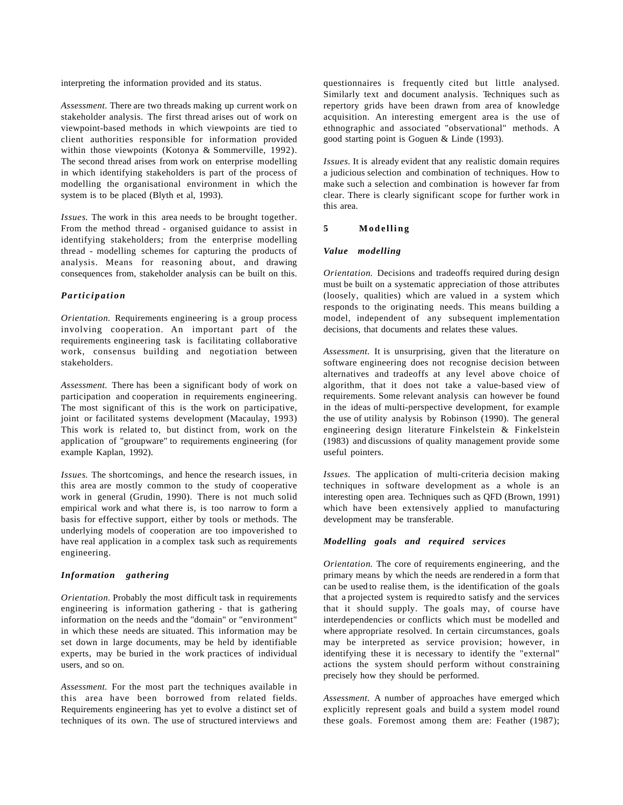interpreting the information provided and its status.

*Assessment*. There are two threads making up current work on stakeholder analysis. The first thread arises out of work on viewpoint-based methods in which viewpoints are tied to client authorities responsible for information provided within those viewpoints (Kotonya & Sommerville, 1992). The second thread arises from work on enterprise modelling in which identifying stakeholders is part of the process of modelling the organisational environment in which the system is to be placed (Blyth et al, 1993).

*Issues*. The work in this area needs to be brought together. From the method thread - organised guidance to assist in identifying stakeholders; from the enterprise modelling thread - modelling schemes for capturing the products of analysis. Means for reasoning about, and drawing consequences from, stakeholder analysis can be built on this.

#### *Participation*

*Orientation*. Requirements engineering is a group process involving cooperation. An important part of the requirements engineering task is facilitating collaborative work, consensus building and negotiation between stakeholders.

*Assessment*. There has been a significant body of work on participation and cooperation in requirements engineering. The most significant of this is the work on participative, joint or facilitated systems development (Macaulay, 1993) This work is related to, but distinct from, work on the application of "groupware" to requirements engineering (for example Kaplan, 1992).

*Issues*. The shortcomings, and hence the research issues, in this area are mostly common to the study of cooperative work in general (Grudin, 1990). There is not much solid empirical work and what there is, is too narrow to form a basis for effective support, either by tools or methods. The underlying models of cooperation are too impoverished to have real application in a complex task such as requirements engineering.

## *Information gathering*

*Orientation*. Probably the most difficult task in requirements engineering is information gathering - that is gathering information on the needs and the "domain" or "environment" in which these needs are situated. This information may be set down in large documents, may be held by identifiable experts, may be buried in the work practices of individual users, and so on.

*Assessment*. For the most part the techniques available in this area have been borrowed from related fields. Requirements engineering has yet to evolve a distinct set of techniques of its own. The use of structured interviews and questionnaires is frequently cited but little analysed. Similarly text and document analysis. Techniques such as repertory grids have been drawn from area of knowledge acquisition. An interesting emergent area is the use of ethnographic and associated "observational" methods. A good starting point is Goguen & Linde (1993).

*Issues*. It is already evident that any realistic domain requires a judicious selection and combination of techniques. How to make such a selection and combination is however far from clear. There is clearly significant scope for further work in this area.

#### **5 Modelling**

#### *Value modelling*

*Orientation*. Decisions and tradeoffs required during design must be built on a systematic appreciation of those attributes (loosely, qualities) which are valued in a system which responds to the originating needs. This means building a model, independent of any subsequent implementation decisions, that documents and relates these values.

*Assessment*. It is unsurprising, given that the literature on software engineering does not recognise decision between alternatives and tradeoffs at any level above choice of algorithm, that it does not take a value-based view of requirements. Some relevant analysis can however be found in the ideas of multi-perspective development, for example the use of utility analysis by Robinson (1990). The general engineering design literature Finkelstein & Finkelstein (1983) and discussions of quality management provide some useful pointers.

*Issues*. The application of multi-criteria decision making techniques in software development as a whole is an interesting open area. Techniques such as QFD (Brown, 1991) which have been extensively applied to manufacturing development may be transferable.

## *Modelling goals and required services*

*Orientation*. The core of requirements engineering, and the primary means by which the needs are rendered in a form that can be used to realise them, is the identification of the goals that a projected system is required to satisfy and the services that it should supply. The goals may, of course have interdependencies or conflicts which must be modelled and where appropriate resolved. In certain circumstances, goals may be interpreted as service provision; however, in identifying these it is necessary to identify the "external" actions the system should perform without constraining precisely how they should be performed.

*Assessment*. A number of approaches have emerged which explicitly represent goals and build a system model round these goals. Foremost among them are: Feather (1987);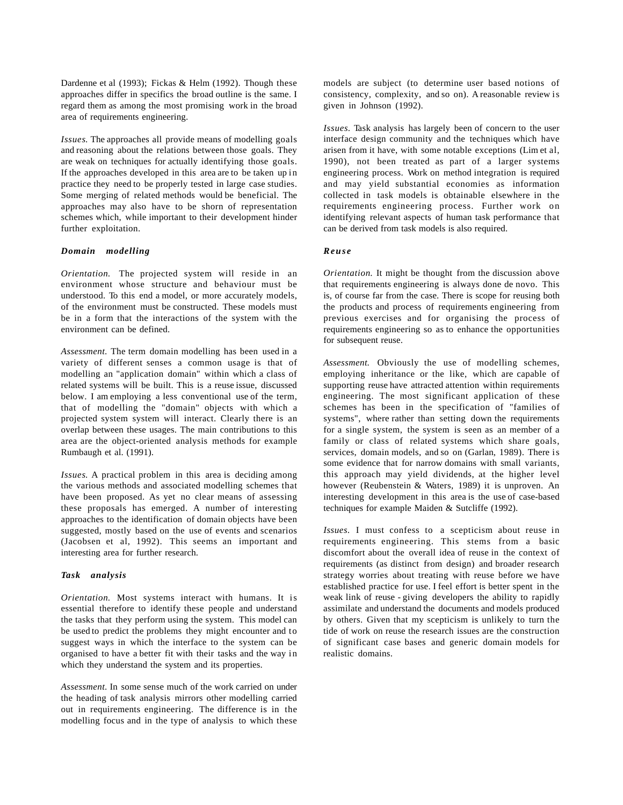Dardenne et al (1993); Fickas & Helm (1992). Though these approaches differ in specifics the broad outline is the same. I regard them as among the most promising work in the broad area of requirements engineering.

*Issues*. The approaches all provide means of modelling goals and reasoning about the relations between those goals. They are weak on techniques for actually identifying those goals. If the approaches developed in this area are to be taken up in practice they need to be properly tested in large case studies. Some merging of related methods would be beneficial. The approaches may also have to be shorn of representation schemes which, while important to their development hinder further exploitation.

#### *Domain modelling*

*Orientation*. The projected system will reside in an environment whose structure and behaviour must be understood. To this end a model, or more accurately models, of the environment must be constructed. These models must be in a form that the interactions of the system with the environment can be defined.

*Assessment*. The term domain modelling has been used in a variety of different senses a common usage is that of modelling an "application domain" within which a class of related systems will be built. This is a reuse issue, discussed below. I am employing a less conventional use of the term, that of modelling the "domain" objects with which a projected system system will interact. Clearly there is an overlap between these usages. The main contributions to this area are the object-oriented analysis methods for example Rumbaugh et al. (1991).

*Issues*. A practical problem in this area is deciding among the various methods and associated modelling schemes that have been proposed. As yet no clear means of assessing these proposals has emerged. A number of interesting approaches to the identification of domain objects have been suggested, mostly based on the use of events and scenarios (Jacobsen et al, 1992). This seems an important and interesting area for further research.

#### *Task analysis*

*Orientation*. Most systems interact with humans. It is essential therefore to identify these people and understand the tasks that they perform using the system. This model can be used to predict the problems they might encounter and to suggest ways in which the interface to the system can be organised to have a better fit with their tasks and the way in which they understand the system and its properties.

*Assessment*. In some sense much of the work carried on under the heading of task analysis mirrors other modelling carried out in requirements engineering. The difference is in the modelling focus and in the type of analysis to which these

models are subject (to determine user based notions of consistency, complexity, and so on). A reasonable review is given in Johnson (1992).

*Issues*. Task analysis has largely been of concern to the user interface design community and the techniques which have arisen from it have, with some notable exceptions (Lim et al, 1990), not been treated as part of a larger systems engineering process. Work on method integration is required and may yield substantial economies as information collected in task models is obtainable elsewhere in the requirements engineering process. Further work on identifying relevant aspects of human task performance that can be derived from task models is also required.

#### *Reuse*

*Orientation*. It might be thought from the discussion above that requirements engineering is always done de novo. This is, of course far from the case. There is scope for reusing both the products and process of requirements engineering from previous exercises and for organising the process of requirements engineering so as to enhance the opportunities for subsequent reuse.

*Assessment*. Obviously the use of modelling schemes, employing inheritance or the like, which are capable of supporting reuse have attracted attention within requirements engineering. The most significant application of these schemes has been in the specification of "families of systems", where rather than setting down the requirements for a single system, the system is seen as an member of a family or class of related systems which share goals, services, domain models, and so on (Garlan, 1989). There is some evidence that for narrow domains with small variants, this approach may yield dividends, at the higher level however (Reubenstein & Waters, 1989) it is unproven. An interesting development in this area is the use of case-based techniques for example Maiden & Sutcliffe (1992).

*Issues.* I must confess to a scepticism about reuse in requirements engineering. This stems from a basic discomfort about the overall idea of reuse in the context of requirements (as distinct from design) and broader research strategy worries about treating with reuse before we have established practice for use. I feel effort is better spent in the weak link of reuse - giving developers the ability to rapidly assimilate and understand the documents and models produced by others. Given that my scepticism is unlikely to turn the tide of work on reuse the research issues are the construction of significant case bases and generic domain models for realistic domains.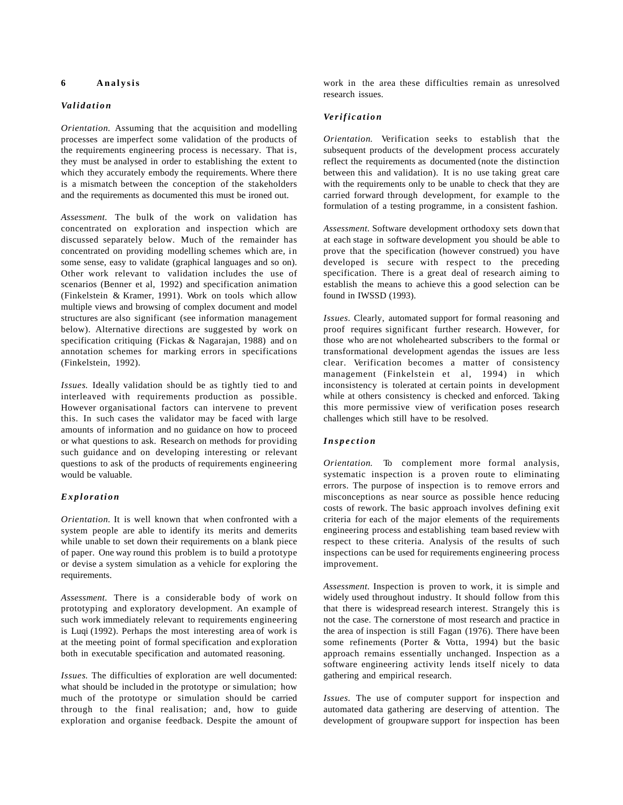## **6 Analysis**

#### *Va l i d a t i o n*

*Orientation*. Assuming that the acquisition and modelling processes are imperfect some validation of the products of the requirements engineering process is necessary. That is, they must be analysed in order to establishing the extent to which they accurately embody the requirements. Where there is a mismatch between the conception of the stakeholders and the requirements as documented this must be ironed out.

*Assessment*. The bulk of the work on validation has concentrated on exploration and inspection which are discussed separately below. Much of the remainder has concentrated on providing modelling schemes which are, in some sense, easy to validate (graphical languages and so on). Other work relevant to validation includes the use of scenarios (Benner et al, 1992) and specification animation (Finkelstein & Kramer, 1991). Work on tools which allow multiple views and browsing of complex document and model structures are also significant (see information management below). Alternative directions are suggested by work on specification critiquing (Fickas & Nagarajan, 1988) and on annotation schemes for marking errors in specifications (Finkelstein, 1992).

*Issues*. Ideally validation should be as tightly tied to and interleaved with requirements production as possible. However organisational factors can intervene to prevent this. In such cases the validator may be faced with large amounts of information and no guidance on how to proceed or what questions to ask. Research on methods for providing such guidance and on developing interesting or relevant questions to ask of the products of requirements engineering would be valuable.

## *Exploration*

*Orientation*. It is well known that when confronted with a system people are able to identify its merits and demerits while unable to set down their requirements on a blank piece of paper. One way round this problem is to build a prototype or devise a system simulation as a vehicle for exploring the requirements.

*Assessment*. There is a considerable body of work on prototyping and exploratory development. An example of such work immediately relevant to requirements engineering is Luqi (1992). Perhaps the most interesting area of work is at the meeting point of formal specification and exploration both in executable specification and automated reasoning.

*Issues*. The difficulties of exploration are well documented: what should be included in the prototype or simulation; how much of the prototype or simulation should be carried through to the final realisation; and, how to guide exploration and organise feedback. Despite the amount of

work in the area these difficulties remain as unresolved research issues.

## *Ve r i f i c a t i o n*

*Orientation*. Verification seeks to establish that the subsequent products of the development process accurately reflect the requirements as documented (note the distinction between this and validation). It is no use taking great care with the requirements only to be unable to check that they are carried forward through development, for example to the formulation of a testing programme, in a consistent fashion.

*Assessment*. Software development orthodoxy sets down that at each stage in software development you should be able to prove that the specification (however construed) you have developed is secure with respect to the preceding specification. There is a great deal of research aiming to establish the means to achieve this a good selection can be found in IWSSD (1993).

*Issues*. Clearly, automated support for formal reasoning and proof requires significant further research. However, for those who are not wholehearted subscribers to the formal or transformational development agendas the issues are less clear. Verification becomes a matter of consistency management (Finkelstein et al, 1994) in which inconsistency is tolerated at certain points in development while at others consistency is checked and enforced. Taking this more permissive view of verification poses research challenges which still have to be resolved.

## *Inspection*

*Orientation*. To complement more formal analysis, systematic inspection is a proven route to eliminating errors. The purpose of inspection is to remove errors and misconceptions as near source as possible hence reducing costs of rework. The basic approach involves defining exit criteria for each of the major elements of the requirements engineering process and establishing team based review with respect to these criteria. Analysis of the results of such inspections can be used for requirements engineering process improvement.

*Assessment*. Inspection is proven to work, it is simple and widely used throughout industry. It should follow from this that there is widespread research interest. Strangely this is not the case. The cornerstone of most research and practice in the area of inspection is still Fagan (1976). There have been some refinements (Porter & Votta, 1994) but the basic approach remains essentially unchanged. Inspection as a software engineering activity lends itself nicely to data gathering and empirical research.

*Issues*. The use of computer support for inspection and automated data gathering are deserving of attention. The development of groupware support for inspection has been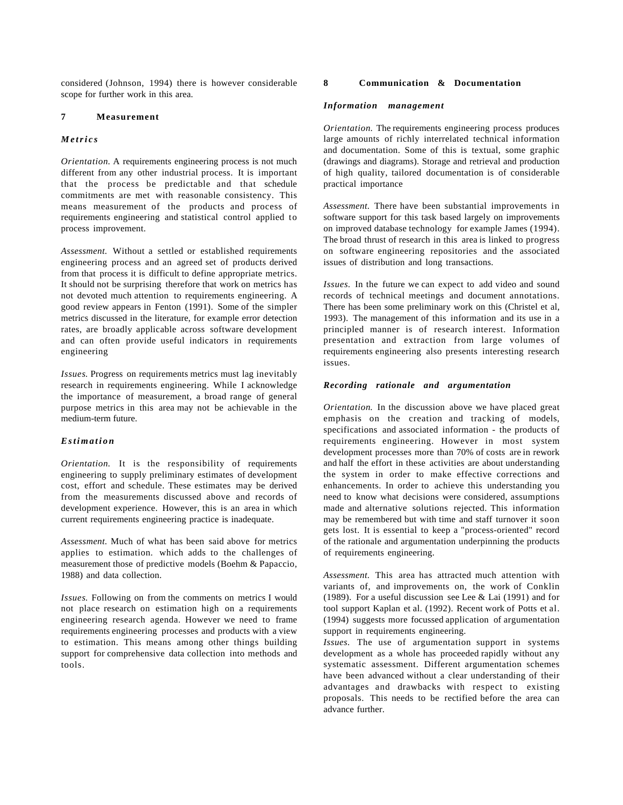considered (Johnson, 1994) there is however considerable scope for further work in this area.

## **7 Measurement**

### *Metrics*

*Orientation*. A requirements engineering process is not much different from any other industrial process. It is important that the process be predictable and that schedule commitments are met with reasonable consistency. This means measurement of the products and process of requirements engineering and statistical control applied to process improvement.

*Assessment*. Without a settled or established requirements engineering process and an agreed set of products derived from that process it is difficult to define appropriate metrics. It should not be surprising therefore that work on metrics has not devoted much attention to requirements engineering. A good review appears in Fenton (1991). Some of the simpler metrics discussed in the literature, for example error detection rates, are broadly applicable across software development and can often provide useful indicators in requirements engineering

*Issues*. Progress on requirements metrics must lag inevitably research in requirements engineering. While I acknowledge the importance of measurement, a broad range of general purpose metrics in this area may not be achievable in the medium-term future.

## *Estimation*

*Orientation*. It is the responsibility of requirements engineering to supply preliminary estimates of development cost, effort and schedule. These estimates may be derived from the measurements discussed above and records of development experience. However, this is an area in which current requirements engineering practice is inadequate.

*Assessment*. Much of what has been said above for metrics applies to estimation. which adds to the challenges of measurement those of predictive models (Boehm & Papaccio, 1988) and data collection.

*Issues*. Following on from the comments on metrics I would not place research on estimation high on a requirements engineering research agenda. However we need to frame requirements engineering processes and products with a view to estimation. This means among other things building support for comprehensive data collection into methods and tools.

#### **8 Communication & Documentation**

#### *Information management*

*Orientation*. The requirements engineering process produces large amounts of richly interrelated technical information and documentation. Some of this is textual, some graphic (drawings and diagrams). Storage and retrieval and production of high quality, tailored documentation is of considerable practical importance

*Assessment*. There have been substantial improvements in software support for this task based largely on improvements on improved database technology for example James (1994). The broad thrust of research in this area is linked to progress on software engineering repositories and the associated issues of distribution and long transactions.

*Issues*. In the future we can expect to add video and sound records of technical meetings and document annotations. There has been some preliminary work on this (Christel et al, 1993). The management of this information and its use in a principled manner is of research interest. Information presentation and extraction from large volumes of requirements engineering also presents interesting research issues.

## *Recording rationale and argumentation*

*Orientation*. In the discussion above we have placed great emphasis on the creation and tracking of models, specifications and associated information - the products of requirements engineering. However in most system development processes more than 70% of costs are in rework and half the effort in these activities are about understanding the system in order to make effective corrections and enhancements. In order to achieve this understanding you need to know what decisions were considered, assumptions made and alternative solutions rejected. This information may be remembered but with time and staff turnover it soon gets lost. It is essential to keep a "process-oriented" record of the rationale and argumentation underpinning the products of requirements engineering.

*Assessment*. This area has attracted much attention with variants of, and improvements on, the work of Conklin (1989). For a useful discussion see Lee & Lai (1991) and for tool support Kaplan et al. (1992). Recent work of Potts et al. (1994) suggests more focussed application of argumentation support in requirements engineering.

*Issues.* The use of argumentation support in systems development as a whole has proceeded rapidly without any systematic assessment. Different argumentation schemes have been advanced without a clear understanding of their advantages and drawbacks with respect to existing proposals. This needs to be rectified before the area can advance further.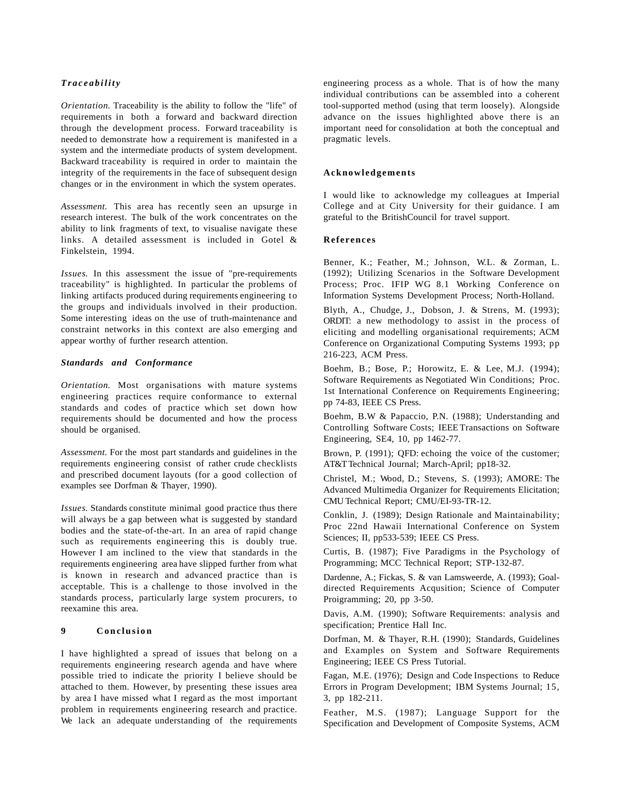## *Traceability*

*Orientation*. Traceability is the ability to follow the "life" of requirements in both a forward and backward direction through the development process. Forward traceability is needed to demonstrate how a requirement is manifested in a system and the intermediate products of system development. Backward traceability is required in order to maintain the integrity of the requirements in the face of subsequent design changes or in the environment in which the system operates.

*Assessment*. This area has recently seen an upsurge in research interest. The bulk of the work concentrates on the ability to link fragments of text, to visualise navigate these links. A detailed assessment is included in Gotel & Finkelstein, 1994.

*Issues*. In this assessment the issue of "pre-requirements traceability" is highlighted. In particular the problems of linking artifacts produced during requirements engineering to the groups and individuals involved in their production. Some interesting ideas on the use of truth-maintenance and constraint networks in this context are also emerging and appear worthy of further research attention.

## *Standards and Conformance*

*Orientation*. Most organisations with mature systems engineering practices require conformance to external standards and codes of practice which set down how requirements should be documented and how the process should be organised.

*Assessment*. For the most part standards and guidelines in the requirements engineering consist of rather crude checklists and prescribed document layouts (for a good collection of examples see Dorfman & Thayer, 1990).

*Issues*. Standards constitute minimal good practice thus there will always be a gap between what is suggested by standard bodies and the state-of-the-art. In an area of rapid change such as requirements engineering this is doubly true. However I am inclined to the view that standards in the requirements engineering area have slipped further from what is known in research and advanced practice than is acceptable. This is a challenge to those involved in the standards process, particularly large system procurers, to reexamine this area.

## **9 Conclusion**

I have highlighted a spread of issues that belong on a requirements engineering research agenda and have where possible tried to indicate the priority I believe should be attached to them. However, by presenting these issues area by area I have missed what I regard as the most important problem in requirements engineering research and practice. We lack an adequate understanding of the requirements

engineering process as a whole. That is of how the many individual contributions can be assembled into a coherent tool-supported method (using that term loosely). Alongside advance on the issues highlighted above there is an important need for consolidation at both the conceptual and pragmatic levels.

#### **Acknowledgements**

I would like to acknowledge my colleagues at Imperial College and at City University for their guidance. I am grateful to the BritishCouncil for travel support.

#### **References**

Benner, K.; Feather, M.; Johnson, W.L. & Zorman, L. (1992); Utilizing Scenarios in the Software Development Process; Proc. IFIP WG 8.1 Working Conference on Information Systems Development Process; North-Holland.

Blyth, A., Chudge, J., Dobson, J. & Strens, M. (1993); ORDIT: a new methodology to assist in the process of eliciting and modelling organisational requirements; ACM Conference on Organizational Computing Systems 1993; pp 216-223, ACM Press.

Boehm, B.; Bose, P.; Horowitz, E. & Lee, M.J. (1994); Software Requirements as Negotiated Win Conditions; Proc. 1st International Conference on Requirements Engineering; pp 74-83, IEEE CS Press.

Boehm, B.W & Papaccio, P.N. (1988); Understanding and Controlling Software Costs; IEEE Transactions on Software Engineering, SE4, 10, pp 1462-77.

Brown, P. (1991); QFD: echoing the voice of the customer; AT&T Technical Journal; March-April; pp18-32.

Christel, M.; Wood, D.; Stevens, S. (1993); AMORE: The Advanced Multimedia Organizer for Requirements Elicitation; CMU Technical Report; CMU/EI-93-TR-12.

Conklin, J. (1989); Design Rationale and Maintainability; Proc 22nd Hawaii International Conference on System Sciences; II, pp533-539; IEEE CS Press.

Curtis, B. (1987); Five Paradigms in the Psychology of Programming; MCC Technical Report; STP-132-87.

Dardenne, A.; Fickas, S. & van Lamsweerde, A. (1993); Goaldirected Requirements Acqusition; Science of Computer Proigramming; 20, pp 3-50.

Davis, A.M. (1990); Software Requirements: analysis and specification; Prentice Hall Inc.

Dorfman, M. & Thayer, R.H. (1990); Standards, Guidelines and Examples on System and Software Requirements Engineering; IEEE CS Press Tutorial.

Fagan, M.E. (1976); Design and Code Inspections to Reduce Errors in Program Development; IBM Systems Journal; 15, 3, pp 182-211.

Feather, M.S. (1987); Language Support for the Specification and Development of Composite Systems, ACM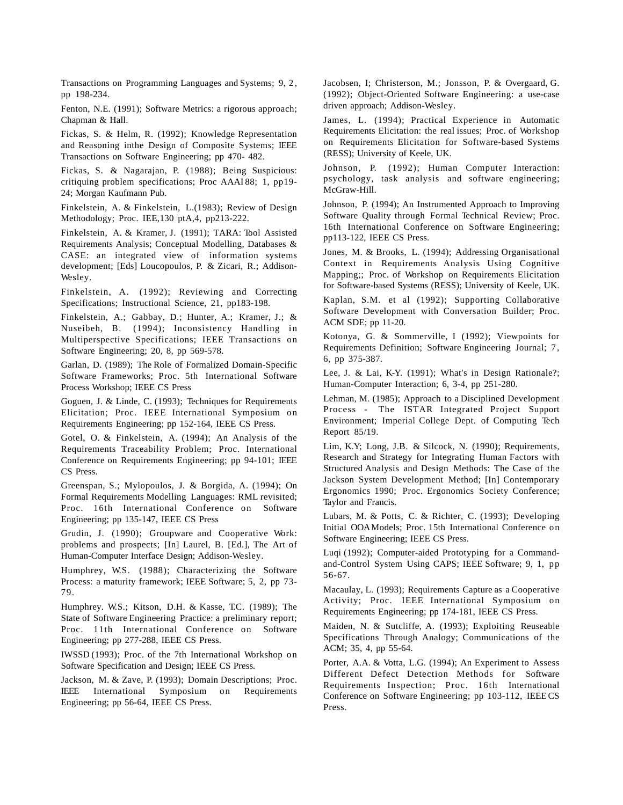Transactions on Programming Languages and Systems; 9, 2 , pp 198-234.

Fenton, N.E. (1991); Software Metrics: a rigorous approach; Chapman & Hall.

Fickas, S. & Helm, R. (1992); Knowledge Representation and Reasoning inthe Design of Composite Systems; IEEE Transactions on Software Engineering; pp 470- 482.

Fickas, S. & Nagarajan, P. (1988); Being Suspicious: critiquing problem specifications; Proc AAAI 88; 1, pp19- 24; Morgan Kaufmann Pub.

Finkelstein, A. & Finkelstein, L.(1983); Review of Design Methodology; Proc. IEE,130 ptA,4, pp213-222.

Finkelstein, A. & Kramer, J. (1991); TARA: Tool Assisted Requirements Analysis; Conceptual Modelling, Databases & CASE: an integrated view of information systems development; [Eds] Loucopoulos, P. & Zicari, R.; Addison-Wesley.

Finkelstein, A. (1992); Reviewing and Correcting Specifications; Instructional Science, 21, pp183-198.

Finkelstein, A.; Gabbay, D.; Hunter, A.; Kramer, J.; & Nuseibeh, B. (1994); Inconsistency Handling in Multiperspective Specifications; IEEE Transactions on Software Engineering; 20, 8, pp 569-578.

Garlan, D. (1989); The Role of Formalized Domain-Specific Software Frameworks; Proc. 5th International Software Process Workshop; IEEE CS Press

Goguen, J. & Linde, C. (1993); Techniques for Requirements Elicitation; Proc. IEEE International Symposium on Requirements Engineering; pp 152-164, IEEE CS Press.

Gotel, O. & Finkelstein, A. (1994); An Analysis of the Requirements Traceability Problem; Proc. International Conference on Requirements Engineering; pp 94-101; IEEE CS Press.

Greenspan, S.; Mylopoulos, J. & Borgida, A. (1994); On Formal Requirements Modelling Languages: RML revisited; Proc. 16th International Conference on Software Engineering; pp 135-147, IEEE CS Press

Grudin, J. (1990); Groupware and Cooperative Work: problems and prospects; [In] Laurel, B. [Ed.], The Art of Human-Computer Interface Design; Addison-Wesley.

Humphrey, W.S. (1988); Characterizing the Software Process: a maturity framework; IEEE Software; 5, 2, pp 73- 79.

Humphrey. W.S.; Kitson, D.H. & Kasse, T.C. (1989); The State of Software Engineering Practice: a preliminary report; Proc. 11th International Conference on Software Engineering; pp 277-288, IEEE CS Press.

IWSSD (1993); Proc. of the 7th International Workshop on Software Specification and Design; IEEE CS Press.

Jackson, M. & Zave, P. (1993); Domain Descriptions; Proc. IEEE International Symposium on Requirements Engineering; pp 56-64, IEEE CS Press.

Jacobsen, I; Christerson, M.; Jonsson, P. & Overgaard, G. (1992); Object-Oriented Software Engineering: a use-case driven approach; Addison-Wesley.

James, L. (1994); Practical Experience in Automatic Requirements Elicitation: the real issues; Proc. of Workshop on Requirements Elicitation for Software-based Systems (RESS); University of Keele, UK.

Johnson, P. (1992); Human Computer Interaction: psychology, task analysis and software engineering; McGraw-Hill.

Johnson, P. (1994); An Instrumented Approach to Improving Software Quality through Formal Technical Review; Proc. 16th International Conference on Software Engineering; pp113-122, IEEE CS Press.

Jones, M. & Brooks, L. (1994); Addressing Organisational Context in Requirements Analysis Using Cognitive Mapping;; Proc. of Workshop on Requirements Elicitation for Software-based Systems (RESS); University of Keele, UK.

Kaplan, S.M. et al (1992); Supporting Collaborative Software Development with Conversation Builder; Proc. ACM SDE; pp 11-20.

Kotonya, G. & Sommerville, I (1992); Viewpoints for Requirements Definition; Software Engineering Journal; 7 , 6, pp 375-387.

Lee, J. & Lai, K-Y. (1991); What's in Design Rationale?; Human-Computer Interaction; 6, 3-4, pp 251-280.

Lehman, M. (1985); Approach to a Disciplined Development Process - The ISTAR Integrated Project Support Environment; Imperial College Dept. of Computing Tech Report 85/19.

Lim, K.Y; Long, J.B. & Silcock, N. (1990); Requirements, Research and Strategy for Integrating Human Factors with Structured Analysis and Design Methods: The Case of the Jackson System Development Method; [In] Contemporary Ergonomics 1990; Proc. Ergonomics Society Conference; Taylor and Francis.

Lubars, M. & Potts, C. & Richter, C. (1993); Developing Initial OOA Models; Proc. 15th International Conference on Software Engineering; IEEE CS Press.

Luqi (1992); Computer-aided Prototyping for a Commandand-Control System Using CAPS; IEEE Software; 9, 1, pp 56-67.

Macaulay, L. (1993); Requirements Capture as a Cooperative Activity; Proc. IEEE International Symposium on Requirements Engineering; pp 174-181, IEEE CS Press.

Maiden, N. & Sutcliffe, A. (1993); Exploiting Reuseable Specifications Through Analogy; Communications of the ACM; 35, 4, pp 55-64.

Porter, A.A. & Votta, L.G. (1994); An Experiment to Assess Different Defect Detection Methods for Software Requirements Inspection; Proc. 16th International Conference on Software Engineering; pp 103-112, IEEE CS Press.